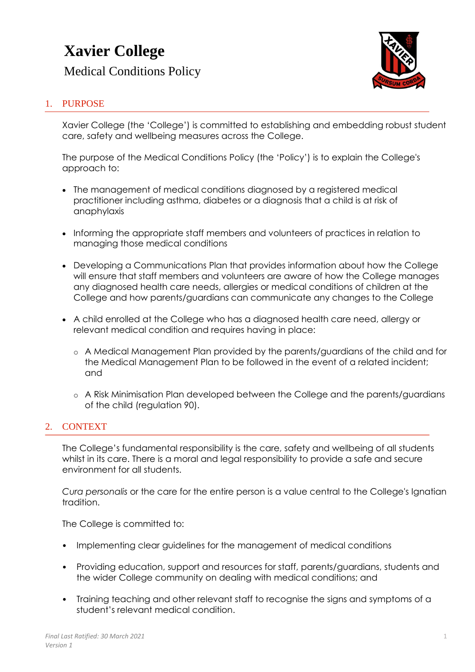# **Xavier College**

Medical Conditions Policy



## 1. PURPOSE

Xavier College (the 'College') is committed to establishing and embedding robust student care, safety and wellbeing measures across the College.

The purpose of the Medical Conditions Policy (the 'Policy') is to explain the College's approach to:

- The management of medical conditions diagnosed by a registered medical practitioner including asthma, diabetes or a diagnosis that a child is at risk of anaphylaxis
- Informing the appropriate staff members and volunteers of practices in relation to managing those medical conditions
- Developing a Communications Plan that provides information about how the College will ensure that staff members and volunteers are aware of how the College manages any diagnosed health care needs, allergies or medical conditions of children at the College and how parents/guardians can communicate any changes to the College
- A child enrolled at the College who has a diagnosed health care need, allergy or relevant medical condition and requires having in place:
	- o A Medical Management Plan provided by the parents/guardians of the child and for the Medical Management Plan to be followed in the event of a related incident; and
	- o A Risk Minimisation Plan developed between the College and the parents/guardians of the child (regulation 90).

## 2. CONTEXT

The College's fundamental responsibility is the care, safety and wellbeing of all students whilst in its care. There is a moral and legal responsibility to provide a safe and secure environment for all students.

*Cura personalis* or the care for the entire person is a value central to the College's Ignatian tradition.

The College is committed to:

- Implementing clear guidelines for the management of medical conditions
- Providing education, support and resources for staff, parents/guardians, students and the wider College community on dealing with medical conditions; and
- Training teaching and other relevant staff to recognise the signs and symptoms of a student's relevant medical condition.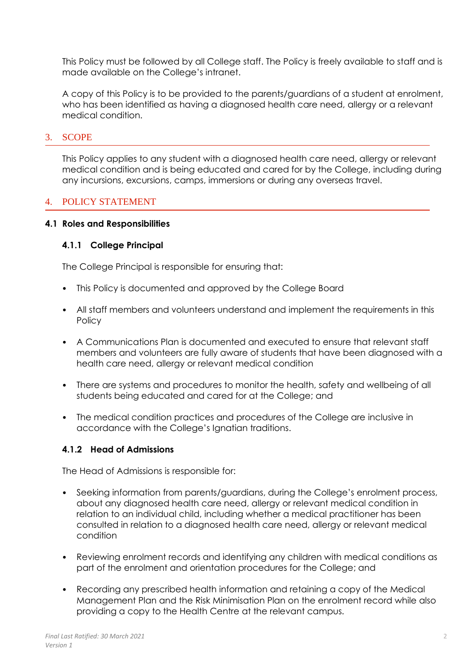This Policy must be followed by all College staff. The Policy is freely available to staff and is made available on the College's intranet.

A copy of this Policy is to be provided to the parents/guardians of a student at enrolment, who has been identified as having a diagnosed health care need, allergy or a relevant medical condition.

## 3. SCOPE

This Policy applies to any student with a diagnosed health care need, allergy or relevant medical condition and is being educated and cared for by the College, including during any incursions, excursions, camps, immersions or during any overseas travel.

## 4. POLICY STATEMENT

#### **4.1 Roles and Responsibilities**

#### **4.1.1 College Principal**

The College Principal is responsible for ensuring that:

- This Policy is documented and approved by the College Board
- All staff members and volunteers understand and implement the requirements in this **Policy**
- A Communications Plan is documented and executed to ensure that relevant staff members and volunteers are fully aware of students that have been diagnosed with a health care need, allergy or relevant medical condition
- There are systems and procedures to monitor the health, safety and wellbeing of all students being educated and cared for at the College; and
- The medical condition practices and procedures of the College are inclusive in accordance with the College's Ignatian traditions.

## **4.1.2 Head of Admissions**

The Head of Admissions is responsible for:

- Seeking information from parents/guardians, during the College's enrolment process, about any diagnosed health care need, allergy or relevant medical condition in relation to an individual child, including whether a medical practitioner has been consulted in relation to a diagnosed health care need, allergy or relevant medical condition
- Reviewing enrolment records and identifying any children with medical conditions as part of the enrolment and orientation procedures for the College; and
- Recording any prescribed health information and retaining a copy of the Medical Management Plan and the Risk Minimisation Plan on the enrolment record while also providing a copy to the Health Centre at the relevant campus.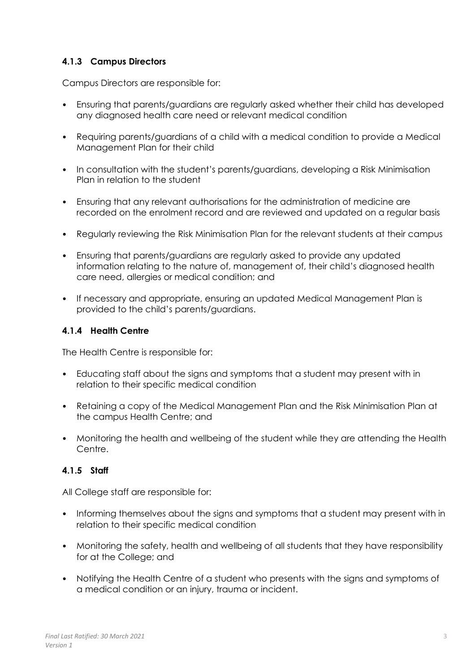# **4.1.3 Campus Directors**

Campus Directors are responsible for:

- Ensuring that parents/guardians are regularly asked whether their child has developed any diagnosed health care need or relevant medical condition
- Requiring parents/guardians of a child with a medical condition to provide a Medical Management Plan for their child
- In consultation with the student's parents/guardians, developing a Risk Minimisation Plan in relation to the student
- Ensuring that any relevant authorisations for the administration of medicine are recorded on the enrolment record and are reviewed and updated on a regular basis
- Regularly reviewing the Risk Minimisation Plan for the relevant students at their campus
- Ensuring that parents/guardians are regularly asked to provide any updated information relating to the nature of, management of, their child's diagnosed health care need, allergies or medical condition; and
- If necessary and appropriate, ensuring an updated Medical Management Plan is provided to the child's parents/guardians.

## **4.1.4 Health Centre**

The Health Centre is responsible for:

- Educating staff about the signs and symptoms that a student may present with in relation to their specific medical condition
- Retaining a copy of the Medical Management Plan and the Risk Minimisation Plan at the campus Health Centre; and
- Monitoring the health and wellbeing of the student while they are attending the Health Centre.

## **4.1.5 Staff**

All College staff are responsible for:

- Informing themselves about the signs and symptoms that a student may present with in relation to their specific medical condition
- Monitoring the safety, health and wellbeing of all students that they have responsibility for at the College; and
- Notifying the Health Centre of a student who presents with the signs and symptoms of a medical condition or an injury, trauma or incident.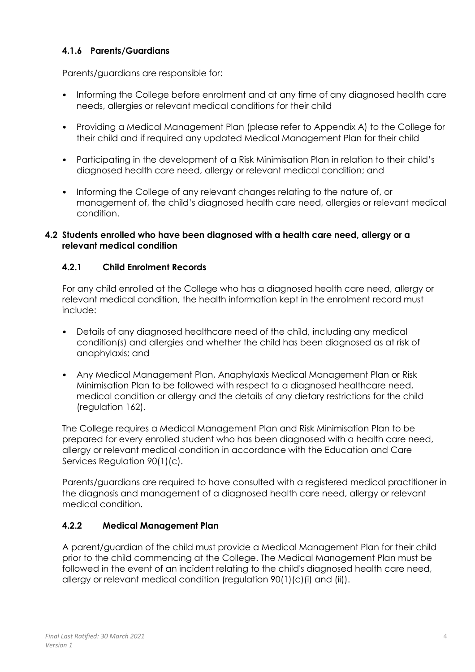# **4.1.6 Parents/Guardians**

Parents/guardians are responsible for:

- Informing the College before enrolment and at any time of any diagnosed health care needs, allergies or relevant medical conditions for their child
- Providing a Medical Management Plan (please refer to Appendix A) to the College for their child and if required any updated Medical Management Plan for their child
- Participating in the development of a Risk Minimisation Plan in relation to their child's diagnosed health care need, allergy or relevant medical condition; and
- Informing the College of any relevant changes relating to the nature of, or management of, the child's diagnosed health care need, allergies or relevant medical condition.

## **4.2 Students enrolled who have been diagnosed with a health care need, allergy or a relevant medical condition**

## **4.2.1 Child Enrolment Records**

For any child enrolled at the College who has a diagnosed health care need, allergy or relevant medical condition, the health information kept in the enrolment record must include:

- Details of any diagnosed healthcare need of the child, including any medical condition(s) and allergies and whether the child has been diagnosed as at risk of anaphylaxis; and
- Any Medical Management Plan, Anaphylaxis Medical Management Plan or Risk Minimisation Plan to be followed with respect to a diagnosed healthcare need, medical condition or allergy and the details of any dietary restrictions for the child (regulation 162).

The College requires a Medical Management Plan and Risk Minimisation Plan to be prepared for every enrolled student who has been diagnosed with a health care need, allergy or relevant medical condition in accordance with the Education and Care Services Regulation 90(1)(c).

Parents/guardians are required to have consulted with a registered medical practitioner in the diagnosis and management of a diagnosed health care need, allergy or relevant medical condition.

## **4.2.2 Medical Management Plan**

A parent/guardian of the child must provide a Medical Management Plan for their child prior to the child commencing at the College. The Medical Management Plan must be followed in the event of an incident relating to the child's diagnosed health care need, allergy or relevant medical condition (regulation 90(1)(c)(i) and (ii)).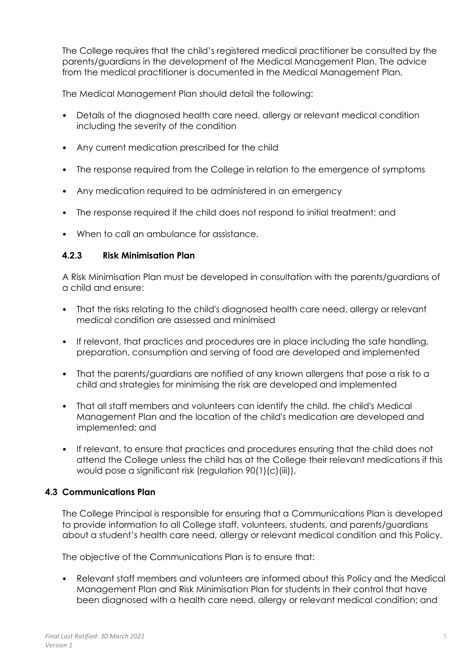The College requires that the child's registered medical practitioner be consulted by the parents/guardians in the development of the Medical Management Plan. The advice from the medical practitioner is documented in the Medical Management Plan.

The Medical Management Plan should detail the following:

- Details of the diagnosed health care need, allergy or relevant medical condition including the severity of the condition
- Any current medication prescribed for the child
- The response required from the College in relation to the emergence of symptoms
- Any medication required to be administered in an emergency
- The response required if the child does not respond to initial treatment; and
- When to call an ambulance for assistance.

## **4.2.3 Risk Minimisation Plan**

A Risk Minimisation Plan must be developed in consultation with the parents/guardians of a child and ensure:

- That the risks relating to the child's diagnosed health care need, allergy or relevant medical condition are assessed and minimised
- If relevant, that practices and procedures are in place including the safe handling, preparation, consumption and serving of food are developed and implemented
- That the parents/guardians are notified of any known allergens that pose a risk to a child and strategies for minimising the risk are developed and implemented
- That all staff members and volunteers can identify the child, the child's Medical Management Plan and the location of the child's medication are developed and implemented; and
- If relevant, to ensure that practices and procedures ensuring that the child does not attend the College unless the child has at the College their relevant medications if this would pose a significant risk (regulation 90(1)(c)(iii)).

## **4.3 Communications Plan**

The College Principal is responsible for ensuring that a Communications Plan is developed to provide information to all College staff, volunteers, students, and parents/guardians about a student's health care need, allergy or relevant medical condition and this Policy.

The objective of the Communications Plan is to ensure that:

• Relevant staff members and volunteers are informed about this Policy and the Medical Management Plan and Risk Minimisation Plan for students in their control that have been diagnosed with a health care need, allergy or relevant medical condition; and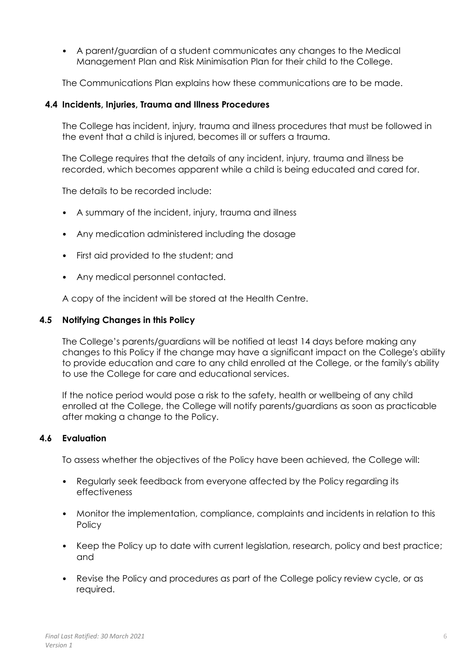• A parent/guardian of a student communicates any changes to the Medical Management Plan and Risk Minimisation Plan for their child to the College.

The Communications Plan explains how these communications are to be made.

## **4.4 Incidents, Injuries, Trauma and Illness Procedures**

The College has incident, injury, trauma and illness procedures that must be followed in the event that a child is injured, becomes ill or suffers a trauma.

The College requires that the details of any incident, injury, trauma and illness be recorded, which becomes apparent while a child is being educated and cared for.

The details to be recorded include:

- A summary of the incident, injury, trauma and illness
- Any medication administered including the dosage
- First aid provided to the student; and
- Any medical personnel contacted.

A copy of the incident will be stored at the Health Centre.

## **4.5 Notifying Changes in this Policy**

The College's parents/guardians will be notified at least 14 days before making any changes to this Policy if the change may have a significant impact on the College's ability to provide education and care to any child enrolled at the College, or the family's ability to use the College for care and educational services.

If the notice period would pose a risk to the safety, health or wellbeing of any child enrolled at the College, the College will notify parents/guardians as soon as practicable after making a change to the Policy.

## **4.6 Evaluation**

To assess whether the objectives of the Policy have been achieved, the College will:

- Regularly seek feedback from everyone affected by the Policy regarding its effectiveness
- Monitor the implementation, compliance, complaints and incidents in relation to this **Policy**
- Keep the Policy up to date with current legislation, research, policy and best practice; and
- Revise the Policy and procedures as part of the College policy review cycle, or as required.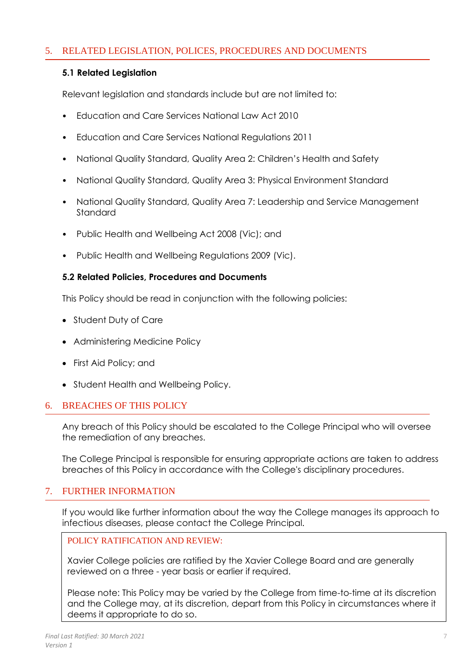## 5. RELATED LEGISLATION, POLICES, PROCEDURES AND DOCUMENTS

## **5.1 Related Legislation**

Relevant legislation and standards include but are not limited to:

- Education and Care Services National Law Act 2010
- Education and Care Services National Regulations 2011
- National Quality Standard, Quality Area 2: Children's Health and Safety
- National Quality Standard, Quality Area 3: Physical Environment Standard
- National Quality Standard, Quality Area 7: Leadership and Service Management **Standard**
- Public Health and Wellbeing Act 2008 (Vic); and
- Public Health and Wellbeing Regulations 2009 (Vic).

#### **5.2 Related Policies, Procedures and Documents**

This Policy should be read in conjunction with the following policies:

- Student Duty of Care
- Administering Medicine Policy
- First Aid Policy; and
- Student Health and Wellbeing Policy.

## 6. BREACHES OF THIS POLICY

Any breach of this Policy should be escalated to the College Principal who will oversee the remediation of any breaches.

The College Principal is responsible for ensuring appropriate actions are taken to address breaches of this Policy in accordance with the College's disciplinary procedures.

## 7. FURTHER INFORMATION

If you would like further information about the way the College manages its approach to infectious diseases, please contact the College Principal.

#### POLICY RATIFICATION AND REVIEW:

Xavier College policies are ratified by the Xavier College Board and are generally reviewed on a three - year basis or earlier if required.

Please note: This Policy may be varied by the College from time-to-time at its discretion and the College may, at its discretion, depart from this Policy in circumstances where it deems it appropriate to do so.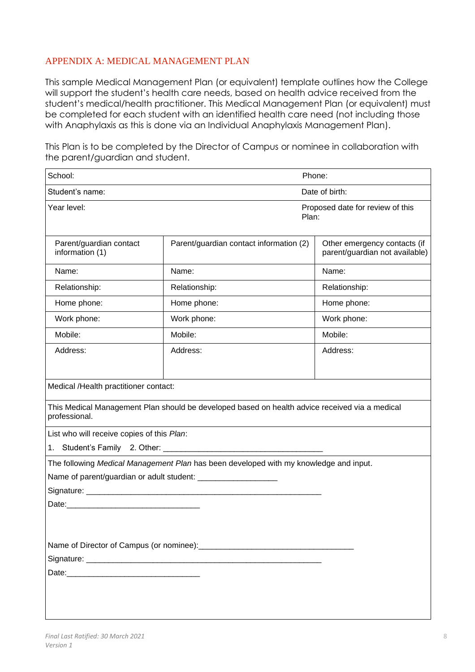## APPENDIX A: MEDICAL MANAGEMENT PLAN

This sample Medical Management Plan (or equivalent) template outlines how the College will support the student's health care needs, based on health advice received from the student's medical/health practitioner. This Medical Management Plan (or equivalent) must be completed for each student with an identified health care need (not including those with Anaphylaxis as this is done via an Individual Anaphylaxis Management Plan).

This Plan is to be completed by the Director of Campus or nominee in collaboration with the parent/guardian and student.

| School:                                                                                                         |                                                                                       | Phone:                                                         |  |  |  |
|-----------------------------------------------------------------------------------------------------------------|---------------------------------------------------------------------------------------|----------------------------------------------------------------|--|--|--|
| Student's name:                                                                                                 |                                                                                       | Date of birth:                                                 |  |  |  |
| Year level:                                                                                                     |                                                                                       | Proposed date for review of this<br>Plan:                      |  |  |  |
| Parent/guardian contact<br>information (1)                                                                      | Parent/guardian contact information (2)                                               | Other emergency contacts (if<br>parent/guardian not available) |  |  |  |
| Name:                                                                                                           | Name:                                                                                 | Name:                                                          |  |  |  |
| Relationship:                                                                                                   | Relationship:                                                                         | Relationship:                                                  |  |  |  |
| Home phone:                                                                                                     | Home phone:                                                                           | Home phone:                                                    |  |  |  |
| Work phone:                                                                                                     | Work phone:                                                                           | Work phone:                                                    |  |  |  |
| Mobile:                                                                                                         | Mobile:                                                                               | Mobile:                                                        |  |  |  |
| Address:                                                                                                        | Address:                                                                              | Address:                                                       |  |  |  |
|                                                                                                                 |                                                                                       |                                                                |  |  |  |
| Medical /Health practitioner contact:                                                                           |                                                                                       |                                                                |  |  |  |
| This Medical Management Plan should be developed based on health advice received via a medical<br>professional. |                                                                                       |                                                                |  |  |  |
| List who will receive copies of this Plan:                                                                      |                                                                                       |                                                                |  |  |  |
| 1. Student's Family 2. Other: ________                                                                          |                                                                                       |                                                                |  |  |  |
|                                                                                                                 | The following Medical Management Plan has been developed with my knowledge and input. |                                                                |  |  |  |
|                                                                                                                 |                                                                                       |                                                                |  |  |  |
|                                                                                                                 |                                                                                       |                                                                |  |  |  |
| Date:                                                                                                           |                                                                                       |                                                                |  |  |  |
|                                                                                                                 |                                                                                       |                                                                |  |  |  |
|                                                                                                                 |                                                                                       |                                                                |  |  |  |
|                                                                                                                 |                                                                                       |                                                                |  |  |  |
|                                                                                                                 |                                                                                       |                                                                |  |  |  |
|                                                                                                                 |                                                                                       |                                                                |  |  |  |
|                                                                                                                 |                                                                                       |                                                                |  |  |  |
|                                                                                                                 |                                                                                       |                                                                |  |  |  |
|                                                                                                                 |                                                                                       |                                                                |  |  |  |
|                                                                                                                 |                                                                                       |                                                                |  |  |  |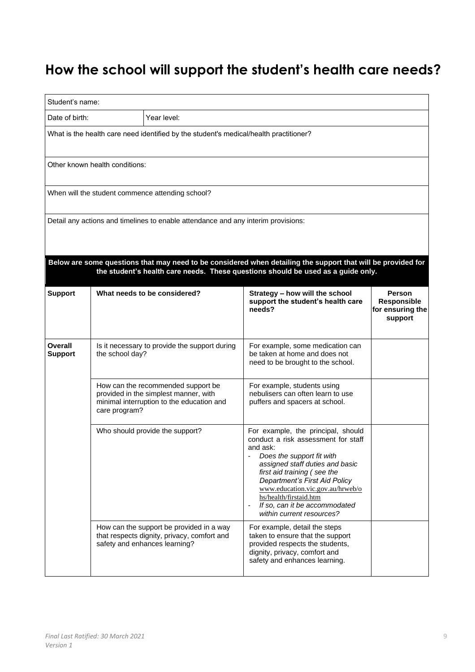# **How the school will support the student's health care needs?**

| Student's name:                                                                                                                                                                                  |                 |                                                                                                                          |                                                                                                                                                                                                                                                                                                                                                                               |                                                             |  |  |
|--------------------------------------------------------------------------------------------------------------------------------------------------------------------------------------------------|-----------------|--------------------------------------------------------------------------------------------------------------------------|-------------------------------------------------------------------------------------------------------------------------------------------------------------------------------------------------------------------------------------------------------------------------------------------------------------------------------------------------------------------------------|-------------------------------------------------------------|--|--|
| Date of birth:                                                                                                                                                                                   |                 | Year level:                                                                                                              |                                                                                                                                                                                                                                                                                                                                                                               |                                                             |  |  |
| What is the health care need identified by the student's medical/health practitioner?                                                                                                            |                 |                                                                                                                          |                                                                                                                                                                                                                                                                                                                                                                               |                                                             |  |  |
| Other known health conditions:                                                                                                                                                                   |                 |                                                                                                                          |                                                                                                                                                                                                                                                                                                                                                                               |                                                             |  |  |
|                                                                                                                                                                                                  |                 | When will the student commence attending school?                                                                         |                                                                                                                                                                                                                                                                                                                                                                               |                                                             |  |  |
| Detail any actions and timelines to enable attendance and any interim provisions:                                                                                                                |                 |                                                                                                                          |                                                                                                                                                                                                                                                                                                                                                                               |                                                             |  |  |
| Below are some questions that may need to be considered when detailing the support that will be provided for<br>the student's health care needs. These questions should be used as a guide only. |                 |                                                                                                                          |                                                                                                                                                                                                                                                                                                                                                                               |                                                             |  |  |
| <b>Support</b>                                                                                                                                                                                   |                 | What needs to be considered?                                                                                             | Strategy - how will the school<br>support the student's health care<br>needs?                                                                                                                                                                                                                                                                                                 | <b>Person</b><br>Responsible<br>for ensuring the<br>support |  |  |
| Overall<br><b>Support</b>                                                                                                                                                                        | the school day? | Is it necessary to provide the support during                                                                            | For example, some medication can<br>be taken at home and does not<br>need to be brought to the school.                                                                                                                                                                                                                                                                        |                                                             |  |  |
|                                                                                                                                                                                                  | care program?   | How can the recommended support be<br>provided in the simplest manner, with<br>minimal interruption to the education and | For example, students using<br>nebulisers can often learn to use<br>puffers and spacers at school.                                                                                                                                                                                                                                                                            |                                                             |  |  |
|                                                                                                                                                                                                  |                 | Who should provide the support?                                                                                          | For example, the principal, should<br>conduct a risk assessment for staff<br>and ask:<br>Does the support fit with<br>assigned staff duties and basic<br>first aid training (see the<br>Department's First Aid Policy<br>www.education.vic.gov.au/hrweb/o<br>hs/health/firstaid.htm<br>If so, can it be accommodated<br>$\overline{\phantom{a}}$<br>within current resources? |                                                             |  |  |
|                                                                                                                                                                                                  |                 | How can the support be provided in a way<br>that respects dignity, privacy, comfort and<br>safety and enhances learning? | For example, detail the steps<br>taken to ensure that the support<br>provided respects the students,<br>dignity, privacy, comfort and<br>safety and enhances learning.                                                                                                                                                                                                        |                                                             |  |  |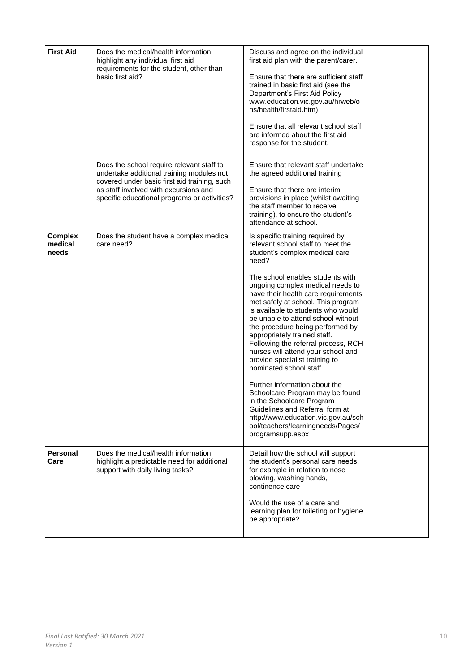| <b>First Aid</b>                   | Does the medical/health information<br>highlight any individual first aid<br>requirements for the student, other than<br>basic first aid?                                                                                       | Discuss and agree on the individual<br>first aid plan with the parent/carer.<br>Ensure that there are sufficient staff<br>trained in basic first aid (see the<br>Department's First Aid Policy<br>www.education.vic.gov.au/hrweb/o<br>hs/health/firstaid.htm)<br>Ensure that all relevant school staff<br>are informed about the first aid<br>response for the student.                                                                                                                                                                                                                                                                                                                                                                                                                              |  |
|------------------------------------|---------------------------------------------------------------------------------------------------------------------------------------------------------------------------------------------------------------------------------|------------------------------------------------------------------------------------------------------------------------------------------------------------------------------------------------------------------------------------------------------------------------------------------------------------------------------------------------------------------------------------------------------------------------------------------------------------------------------------------------------------------------------------------------------------------------------------------------------------------------------------------------------------------------------------------------------------------------------------------------------------------------------------------------------|--|
|                                    | Does the school require relevant staff to<br>undertake additional training modules not<br>covered under basic first aid training, such<br>as staff involved with excursions and<br>specific educational programs or activities? | Ensure that relevant staff undertake<br>the agreed additional training<br>Ensure that there are interim<br>provisions in place (whilst awaiting<br>the staff member to receive<br>training), to ensure the student's<br>attendance at school.                                                                                                                                                                                                                                                                                                                                                                                                                                                                                                                                                        |  |
| <b>Complex</b><br>medical<br>needs | Does the student have a complex medical<br>care need?                                                                                                                                                                           | Is specific training required by<br>relevant school staff to meet the<br>student's complex medical care<br>need?<br>The school enables students with<br>ongoing complex medical needs to<br>have their health care requirements<br>met safely at school. This program<br>is available to students who would<br>be unable to attend school without<br>the procedure being performed by<br>appropriately trained staff.<br>Following the referral process, RCH<br>nurses will attend your school and<br>provide specialist training to<br>nominated school staff.<br>Further information about the<br>Schoolcare Program may be found<br>in the Schoolcare Program<br>Guidelines and Referral form at:<br>http://www.education.vic.gov.au/sch<br>ool/teachers/learningneeds/Pages/<br>programsupp.aspx |  |
| <b>Personal</b><br>Care            | Does the medical/health information<br>highlight a predictable need for additional<br>support with daily living tasks?                                                                                                          | Detail how the school will support<br>the student's personal care needs,<br>for example in relation to nose<br>blowing, washing hands,<br>continence care<br>Would the use of a care and<br>learning plan for toileting or hygiene<br>be appropriate?                                                                                                                                                                                                                                                                                                                                                                                                                                                                                                                                                |  |